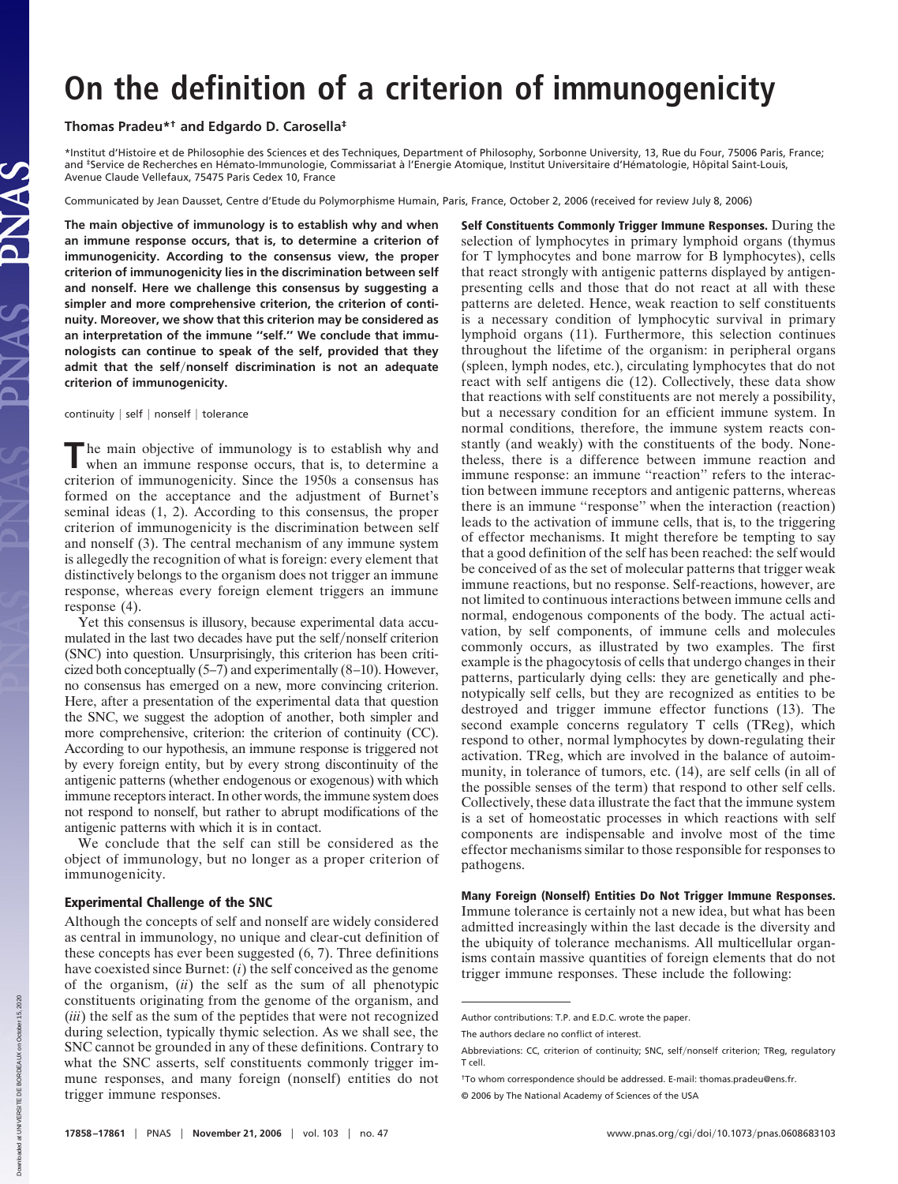# **On the definition of a criterion of immunogenicity**

### **Thomas Pradeu\*† and Edgardo D. Carosella‡**

\*Institut d'Histoire et de Philosophie des Sciences et des Techniques, Department of Philosophy, Sorbonne University, 13, Rue du Four, 75006 Paris, France; and <sup>‡</sup>Service de Recherches en Hémato-Immunologie, Commissariat à l'Energie Atomique, Institut Universitaire d'Hématologie, Hôpital Saint-Louis, Avenue Claude Vellefaux, 75475 Paris Cedex 10, France

Communicated by Jean Dausset, Centre d'Etude du Polymorphisme Humain, Paris, France, October 2, 2006 (received for review July 8, 2006)

**The main objective of immunology is to establish why and when an immune response occurs, that is, to determine a criterion of immunogenicity. According to the consensus view, the proper criterion of immunogenicity lies in the discrimination between self and nonself. Here we challenge this consensus by suggesting a simpler and more comprehensive criterion, the criterion of continuity. Moreover, we show that this criterion may be considered as an interpretation of the immune ''self.'' We conclude that immunologists can continue to speak of the self, provided that they admit that the selfnonself discrimination is not an adequate criterion of immunogenicity.**

continuity | self | nonself | tolerance

**T**he main objective of immunology is to establish why and when an immune response occurs, that is, to determine a criterion of immunogenicity. Since the 1950s a consensus has formed on the acceptance and the adjustment of Burnet's seminal ideas (1, 2). According to this consensus, the proper criterion of immunogenicity is the discrimination between self and nonself (3). The central mechanism of any immune system is allegedly the recognition of what is foreign: every element that distinctively belongs to the organism does not trigger an immune response, whereas every foreign element triggers an immune response (4).

Yet this consensus is illusory, because experimental data accumulated in the last two decades have put the self/nonself criterion (SNC) into question. Unsurprisingly, this criterion has been criticized both conceptually (5–7) and experimentally (8–10). However, no consensus has emerged on a new, more convincing criterion. Here, after a presentation of the experimental data that question the SNC, we suggest the adoption of another, both simpler and more comprehensive, criterion: the criterion of continuity (CC). According to our hypothesis, an immune response is triggered not by every foreign entity, but by every strong discontinuity of the antigenic patterns (whether endogenous or exogenous) with which immune receptors interact. In other words, the immune system does not respond to nonself, but rather to abrupt modifications of the antigenic patterns with which it is in contact.

We conclude that the self can still be considered as the object of immunology, but no longer as a proper criterion of immunogenicity.

### **Experimental Challenge of the SNC**

Although the concepts of self and nonself are widely considered as central in immunology, no unique and clear-cut definition of these concepts has ever been suggested (6, 7). Three definitions have coexisted since Burnet: (*i*) the self conceived as the genome of the organism, (*ii*) the self as the sum of all phenotypic constituents originating from the genome of the organism, and (*iii*) the self as the sum of the peptides that were not recognized during selection, typically thymic selection. As we shall see, the SNC cannot be grounded in any of these definitions. Contrary to what the SNC asserts, self constituents commonly trigger immune responses, and many foreign (nonself) entities do not trigger immune responses.

**Self Constituents Commonly Trigger Immune Responses.** During the selection of lymphocytes in primary lymphoid organs (thymus for T lymphocytes and bone marrow for B lymphocytes), cells that react strongly with antigenic patterns displayed by antigenpresenting cells and those that do not react at all with these patterns are deleted. Hence, weak reaction to self constituents is a necessary condition of lymphocytic survival in primary lymphoid organs (11). Furthermore, this selection continues throughout the lifetime of the organism: in peripheral organs (spleen, lymph nodes, etc.), circulating lymphocytes that do not react with self antigens die (12). Collectively, these data show that reactions with self constituents are not merely a possibility, but a necessary condition for an efficient immune system. In normal conditions, therefore, the immune system reacts constantly (and weakly) with the constituents of the body. Nonetheless, there is a difference between immune reaction and immune response: an immune "reaction" refers to the interaction between immune receptors and antigenic patterns, whereas there is an immune ''response'' when the interaction (reaction) leads to the activation of immune cells, that is, to the triggering of effector mechanisms. It might therefore be tempting to say that a good definition of the self has been reached: the self would be conceived of as the set of molecular patterns that trigger weak immune reactions, but no response. Self-reactions, however, are not limited to continuous interactions between immune cells and normal, endogenous components of the body. The actual activation, by self components, of immune cells and molecules commonly occurs, as illustrated by two examples. The first example is the phagocytosis of cells that undergo changes in their patterns, particularly dying cells: they are genetically and phenotypically self cells, but they are recognized as entities to be destroyed and trigger immune effector functions (13). The second example concerns regulatory T cells (TReg), which respond to other, normal lymphocytes by down-regulating their activation. TReg, which are involved in the balance of autoimmunity, in tolerance of tumors, etc. (14), are self cells (in all of the possible senses of the term) that respond to other self cells. Collectively, these data illustrate the fact that the immune system is a set of homeostatic processes in which reactions with self components are indispensable and involve most of the time effector mechanisms similar to those responsible for responses to pathogens.

**Many Foreign (Nonself) Entities Do Not Trigger Immune Responses.** Immune tolerance is certainly not a new idea, but what has been admitted increasingly within the last decade is the diversity and the ubiquity of tolerance mechanisms. All multicellular organisms contain massive quantities of foreign elements that do not trigger immune responses. These include the following:

Author contributions: T.P. and E.D.C. wrote the paper.

The authors declare no conflict of interest.

Abbreviations: CC, criterion of continuity; SNC, self/nonself criterion; TReg, regulatory T cell.

<sup>†</sup>To whom correspondence should be addressed. E-mail: thomas.pradeu@ens.fr.

<sup>© 2006</sup> by The National Academy of Sciences of the USA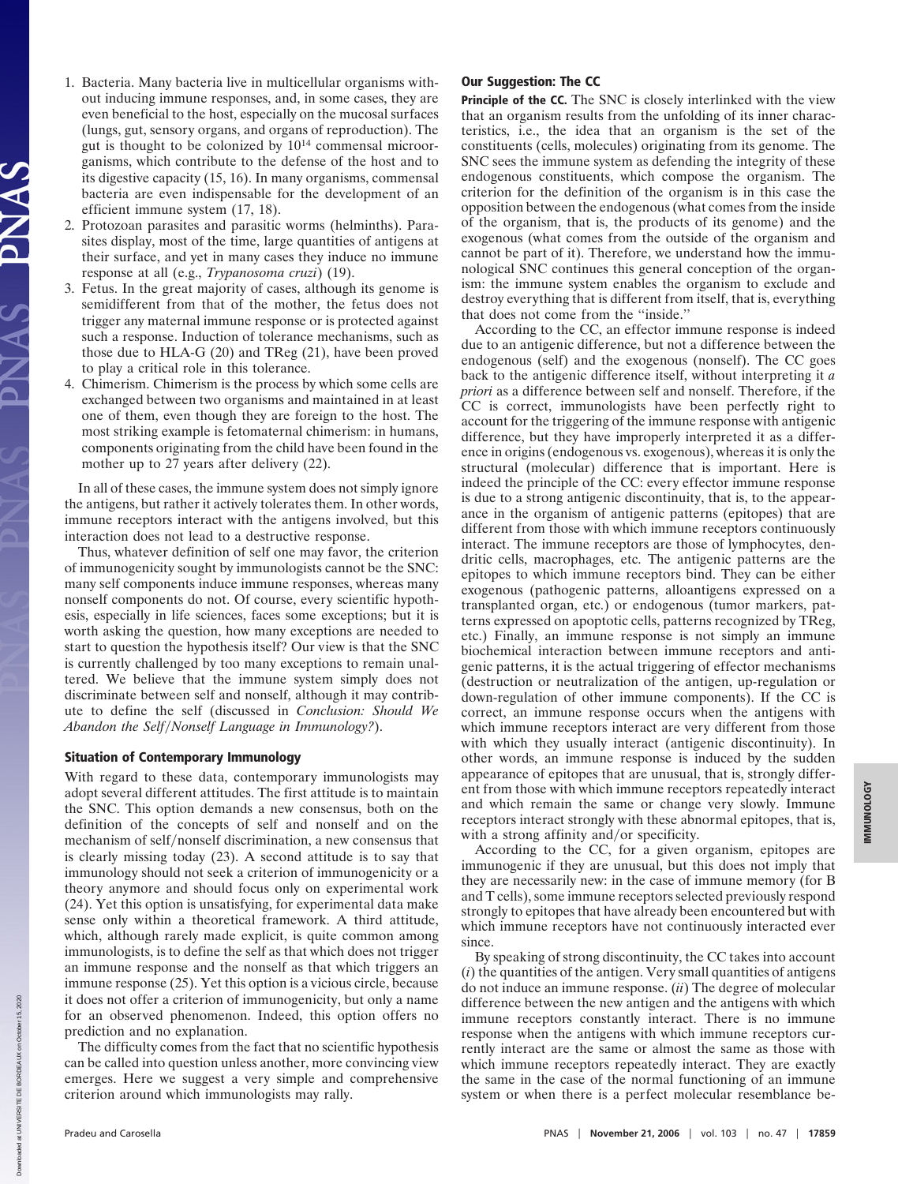- 1. Bacteria. Many bacteria live in multicellular organisms without inducing immune responses, and, in some cases, they are even beneficial to the host, especially on the mucosal surfaces (lungs, gut, sensory organs, and organs of reproduction). The gut is thought to be colonized by  $10^{14}$  commensal microorganisms, which contribute to the defense of the host and to its digestive capacity (15, 16). In many organisms, commensal bacteria are even indispensable for the development of an efficient immune system (17, 18).
- 2. Protozoan parasites and parasitic worms (helminths). Parasites display, most of the time, large quantities of antigens at their surface, and yet in many cases they induce no immune response at all (e.g., *Trypanosoma cruzi*) (19).
- 3. Fetus. In the great majority of cases, although its genome is semidifferent from that of the mother, the fetus does not trigger any maternal immune response or is protected against such a response. Induction of tolerance mechanisms, such as those due to HLA-G (20) and TReg (21), have been proved to play a critical role in this tolerance.
- 4. Chimerism. Chimerism is the process by which some cells are exchanged between two organisms and maintained in at least one of them, even though they are foreign to the host. The most striking example is fetomaternal chimerism: in humans, components originating from the child have been found in the mother up to 27 years after delivery (22).

In all of these cases, the immune system does not simply ignore the antigens, but rather it actively tolerates them. In other words, immune receptors interact with the antigens involved, but this interaction does not lead to a destructive response.

Thus, whatever definition of self one may favor, the criterion of immunogenicity sought by immunologists cannot be the SNC: many self components induce immune responses, whereas many nonself components do not. Of course, every scientific hypothesis, especially in life sciences, faces some exceptions; but it is worth asking the question, how many exceptions are needed to start to question the hypothesis itself? Our view is that the SNC is currently challenged by too many exceptions to remain unaltered. We believe that the immune system simply does not discriminate between self and nonself, although it may contribute to define the self (discussed in *Conclusion: Should We Abandon the SelfNonself Language in Immunology?*).

## **Situation of Contemporary Immunology**

With regard to these data, contemporary immunologists may adopt several different attitudes. The first attitude is to maintain the SNC. This option demands a new consensus, both on the definition of the concepts of self and nonself and on the mechanism of self/nonself discrimination, a new consensus that is clearly missing today (23). A second attitude is to say that immunology should not seek a criterion of immunogenicity or a theory anymore and should focus only on experimental work (24). Yet this option is unsatisfying, for experimental data make sense only within a theoretical framework. A third attitude, which, although rarely made explicit, is quite common among immunologists, is to define the self as that which does not trigger an immune response and the nonself as that which triggers an immune response (25). Yet this option is a vicious circle, because it does not offer a criterion of immunogenicity, but only a name for an observed phenomenon. Indeed, this option offers no prediction and no explanation.

The difficulty comes from the fact that no scientific hypothesis can be called into question unless another, more convincing view emerges. Here we suggest a very simple and comprehensive criterion around which immunologists may rally.

## **Our Suggestion: The CC**

**Principle of the CC.** The SNC is closely interlinked with the view that an organism results from the unfolding of its inner characteristics, i.e., the idea that an organism is the set of the constituents (cells, molecules) originating from its genome. The SNC sees the immune system as defending the integrity of these endogenous constituents, which compose the organism. The criterion for the definition of the organism is in this case the opposition between the endogenous (what comes from the inside of the organism, that is, the products of its genome) and the exogenous (what comes from the outside of the organism and cannot be part of it). Therefore, we understand how the immunological SNC continues this general conception of the organism: the immune system enables the organism to exclude and destroy everything that is different from itself, that is, everything that does not come from the ''inside.''

According to the CC, an effector immune response is indeed due to an antigenic difference, but not a difference between the endogenous (self) and the exogenous (nonself). The CC goes back to the antigenic difference itself, without interpreting it *a priori* as a difference between self and nonself. Therefore, if the CC is correct, immunologists have been perfectly right to account for the triggering of the immune response with antigenic difference, but they have improperly interpreted it as a difference in origins (endogenous vs. exogenous), whereas it is only the structural (molecular) difference that is important. Here is indeed the principle of the CC: every effector immune response is due to a strong antigenic discontinuity, that is, to the appearance in the organism of antigenic patterns (epitopes) that are different from those with which immune receptors continuously interact. The immune receptors are those of lymphocytes, dendritic cells, macrophages, etc. The antigenic patterns are the epitopes to which immune receptors bind. They can be either exogenous (pathogenic patterns, alloantigens expressed on a transplanted organ, etc.) or endogenous (tumor markers, patterns expressed on apoptotic cells, patterns recognized by TReg, etc.) Finally, an immune response is not simply an immune biochemical interaction between immune receptors and antigenic patterns, it is the actual triggering of effector mechanisms (destruction or neutralization of the antigen, up-regulation or down-regulation of other immune components). If the CC is correct, an immune response occurs when the antigens with which immune receptors interact are very different from those with which they usually interact (antigenic discontinuity). In other words, an immune response is induced by the sudden appearance of epitopes that are unusual, that is, strongly different from those with which immune receptors repeatedly interact and which remain the same or change very slowly. Immune receptors interact strongly with these abnormal epitopes, that is, with a strong affinity and/or specificity.

According to the CC, for a given organism, epitopes are immunogenic if they are unusual, but this does not imply that they are necessarily new: in the case of immune memory (for B and T cells), some immune receptors selected previously respond strongly to epitopes that have already been encountered but with which immune receptors have not continuously interacted ever since.

By speaking of strong discontinuity, the CC takes into account (*i*) the quantities of the antigen. Very small quantities of antigens do not induce an immune response. (*ii*) The degree of molecular difference between the new antigen and the antigens with which immune receptors constantly interact. There is no immune response when the antigens with which immune receptors currently interact are the same or almost the same as those with which immune receptors repeatedly interact. They are exactly the same in the case of the normal functioning of an immune system or when there is a perfect molecular resemblance be-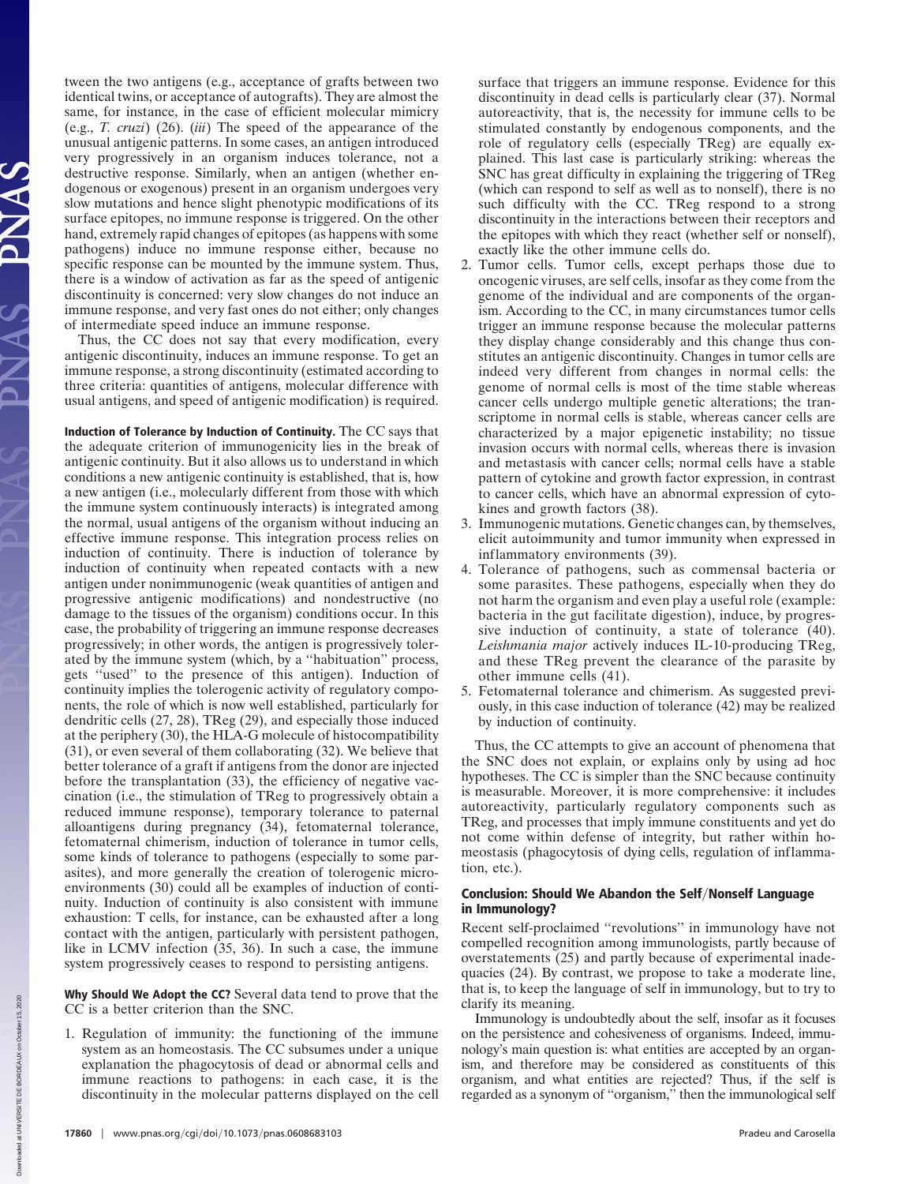tween the two antigens (e.g., acceptance of grafts between two identical twins, or acceptance of autografts). They are almost the same, for instance, in the case of efficient molecular mimicry (e.g., *T. cruzi*) (26). (*iii*) The speed of the appearance of the unusual antigenic patterns. In some cases, an antigen introduced very progressively in an organism induces tolerance, not a destructive response. Similarly, when an antigen (whether endogenous or exogenous) present in an organism undergoes very slow mutations and hence slight phenotypic modifications of its surface epitopes, no immune response is triggered. On the other hand, extremely rapid changes of epitopes (as happens with some pathogens) induce no immune response either, because no specific response can be mounted by the immune system. Thus, there is a window of activation as far as the speed of antigenic discontinuity is concerned: very slow changes do not induce an immune response, and very fast ones do not either; only changes of intermediate speed induce an immune response.

Thus, the CC does not say that every modification, every antigenic discontinuity, induces an immune response. To get an immune response, a strong discontinuity (estimated according to three criteria: quantities of antigens, molecular difference with usual antigens, and speed of antigenic modification) is required.

**Induction of Tolerance by Induction of Continuity.** The CC says that the adequate criterion of immunogenicity lies in the break of antigenic continuity. But it also allows us to understand in which conditions a new antigenic continuity is established, that is, how a new antigen (i.e., molecularly different from those with which the immune system continuously interacts) is integrated among the normal, usual antigens of the organism without inducing an effective immune response. This integration process relies on induction of continuity. There is induction of tolerance by induction of continuity when repeated contacts with a new antigen under nonimmunogenic (weak quantities of antigen and progressive antigenic modifications) and nondestructive (no damage to the tissues of the organism) conditions occur. In this case, the probability of triggering an immune response decreases progressively; in other words, the antigen is progressively tolerated by the immune system (which, by a ''habituation'' process, gets ''used'' to the presence of this antigen). Induction of continuity implies the tolerogenic activity of regulatory components, the role of which is now well established, particularly for dendritic cells (27, 28), TReg (29), and especially those induced at the periphery (30), the HLA-G molecule of histocompatibility (31), or even several of them collaborating (32). We believe that better tolerance of a graft if antigens from the donor are injected before the transplantation (33), the efficiency of negative vaccination (i.e., the stimulation of TReg to progressively obtain a reduced immune response), temporary tolerance to paternal alloantigens during pregnancy (34), fetomaternal tolerance, fetomaternal chimerism, induction of tolerance in tumor cells, some kinds of tolerance to pathogens (especially to some parasites), and more generally the creation of tolerogenic microenvironments (30) could all be examples of induction of continuity. Induction of continuity is also consistent with immune exhaustion: T cells, for instance, can be exhausted after a long contact with the antigen, particularly with persistent pathogen, like in LCMV infection (35, 36). In such a case, the immune system progressively ceases to respond to persisting antigens.

**Why Should We Adopt the CC?** Several data tend to prove that the CC is a better criterion than the SNC.

1. Regulation of immunity: the functioning of the immune system as an homeostasis. The CC subsumes under a unique explanation the phagocytosis of dead or abnormal cells and immune reactions to pathogens: in each case, it is the discontinuity in the molecular patterns displayed on the cell surface that triggers an immune response. Evidence for this discontinuity in dead cells is particularly clear (37). Normal autoreactivity, that is, the necessity for immune cells to be stimulated constantly by endogenous components, and the role of regulatory cells (especially TReg) are equally explained. This last case is particularly striking: whereas the SNC has great difficulty in explaining the triggering of TReg (which can respond to self as well as to nonself), there is no such difficulty with the CC. TReg respond to a strong discontinuity in the interactions between their receptors and the epitopes with which they react (whether self or nonself), exactly like the other immune cells do.

- 2. Tumor cells. Tumor cells, except perhaps those due to oncogenic viruses, are self cells, insofar as they come from the genome of the individual and are components of the organism. According to the CC, in many circumstances tumor cells trigger an immune response because the molecular patterns they display change considerably and this change thus constitutes an antigenic discontinuity. Changes in tumor cells are indeed very different from changes in normal cells: the genome of normal cells is most of the time stable whereas cancer cells undergo multiple genetic alterations; the transcriptome in normal cells is stable, whereas cancer cells are characterized by a major epigenetic instability; no tissue invasion occurs with normal cells, whereas there is invasion and metastasis with cancer cells; normal cells have a stable pattern of cytokine and growth factor expression, in contrast to cancer cells, which have an abnormal expression of cytokines and growth factors (38).
- 3. Immunogenic mutations. Genetic changes can, by themselves, elicit autoimmunity and tumor immunity when expressed in inflammatory environments (39).
- 4. Tolerance of pathogens, such as commensal bacteria or some parasites. These pathogens, especially when they do not harm the organism and even play a useful role (example: bacteria in the gut facilitate digestion), induce, by progressive induction of continuity, a state of tolerance (40). *Leishmania major* actively induces IL-10-producing TReg, and these TReg prevent the clearance of the parasite by other immune cells (41).
- 5. Fetomaternal tolerance and chimerism. As suggested previously, in this case induction of tolerance (42) may be realized by induction of continuity.

Thus, the CC attempts to give an account of phenomena that the SNC does not explain, or explains only by using ad hoc hypotheses. The CC is simpler than the SNC because continuity is measurable. Moreover, it is more comprehensive: it includes autoreactivity, particularly regulatory components such as TReg, and processes that imply immune constituents and yet do not come within defense of integrity, but rather within homeostasis (phagocytosis of dying cells, regulation of inflammation, etc.).

### **Conclusion: Should We Abandon the SelfNonself Language in Immunology?**

Recent self-proclaimed ''revolutions'' in immunology have not compelled recognition among immunologists, partly because of overstatements (25) and partly because of experimental inadequacies (24). By contrast, we propose to take a moderate line, that is, to keep the language of self in immunology, but to try to clarify its meaning.

Immunology is undoubtedly about the self, insofar as it focuses on the persistence and cohesiveness of organisms. Indeed, immunology's main question is: what entities are accepted by an organism, and therefore may be considered as constituents of this organism, and what entities are rejected? Thus, if the self is regarded as a synonym of ''organism,'' then the immunological self